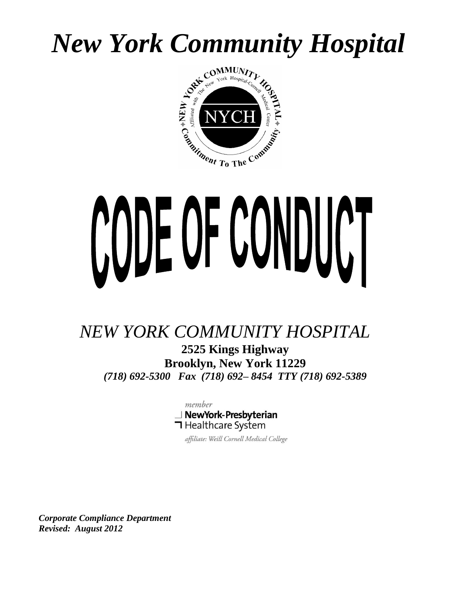# *New York Community Hospital*



# CODE OF CONDUCT

# *NEW YORK COMMUNITY HOSPITAL*

**2525 Kings Highway Brooklyn, New York 11229** *(718) 692-5300 Fax (718) 692– 8454 TTY (718) 692-5389*



affiliate: Weill Cornell Medical College

*Corporate Compliance Department Revised: August 2012*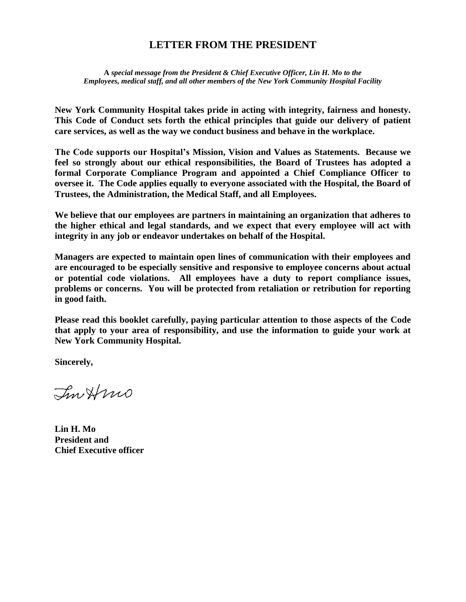### **LETTER FROM THE PRESIDENT**

**A** *special message from the President & Chief Executive Officer, Lin H. Mo to the Employees, medical staff, and all other members of the New York Community Hospital Facility*

**New York Community Hospital takes pride in acting with integrity, fairness and honesty. This Code of Conduct sets forth the ethical principles that guide our delivery of patient care services, as well as the way we conduct business and behave in the workplace.**

**The Code supports our Hospital's Mission, Vision and Values as Statements. Because we feel so strongly about our ethical responsibilities, the Board of Trustees has adopted a formal Corporate Compliance Program and appointed a Chief Compliance Officer to oversee it. The Code applies equally to everyone associated with the Hospital, the Board of Trustees, the Administration, the Medical Staff, and all Employees.**

**We believe that our employees are partners in maintaining an organization that adheres to the higher ethical and legal standards, and we expect that every employee will act with integrity in any job or endeavor undertakes on behalf of the Hospital.**

**Managers are expected to maintain open lines of communication with their employees and are encouraged to be especially sensitive and responsive to employee concerns about actual or potential code violations. All employees have a duty to report compliance issues, problems or concerns. You will be protected from retaliation or retribution for reporting in good faith.** 

**Please read this booklet carefully, paying particular attention to those aspects of the Code that apply to your area of responsibility, and use the information to guide your work at New York Community Hospital.**

**Sincerely,**

InHmo

**Lin H. Mo President and Chief Executive officer**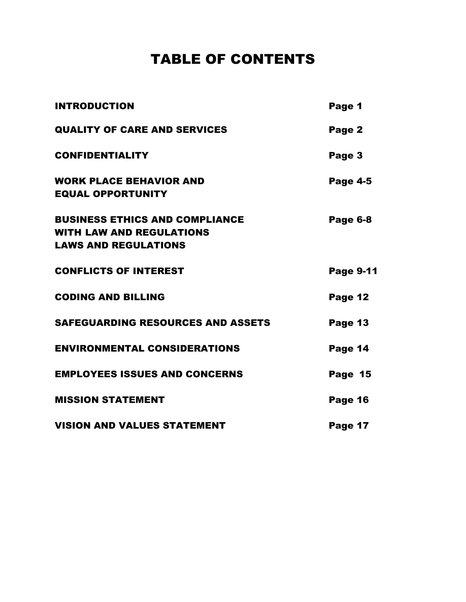# TABLE OF CONTENTS

| <b>INTRODUCTION</b>                                                                                     | Page 1           |
|---------------------------------------------------------------------------------------------------------|------------------|
| <b>QUALITY OF CARE AND SERVICES</b>                                                                     | Page 2           |
| <b>CONFIDENTIALITY</b>                                                                                  | Page 3           |
| <b>WORK PLACE BEHAVIOR AND</b><br><b>EQUAL OPPORTUNITY</b>                                              | <b>Page 4-5</b>  |
| <b>BUSINESS ETHICS AND COMPLIANCE</b><br><b>WITH LAW AND REGULATIONS</b><br><b>LAWS AND REGULATIONS</b> | Page 6-8         |
| <b>CONFLICTS OF INTEREST</b>                                                                            | <b>Page 9-11</b> |
| <b>CODING AND BILLING</b>                                                                               | Page 12          |
| <b>SAFEGUARDING RESOURCES AND ASSETS</b>                                                                | Page 13          |
| <b>ENVIRONMENTAL CONSIDERATIONS</b>                                                                     | Page 14          |
| <b>EMPLOYEES ISSUES AND CONCERNS</b>                                                                    | Page 15          |
| <b>MISSION STATEMENT</b>                                                                                | Page 16          |
| <b>VISION AND VALUES STATEMENT</b>                                                                      | Page 17          |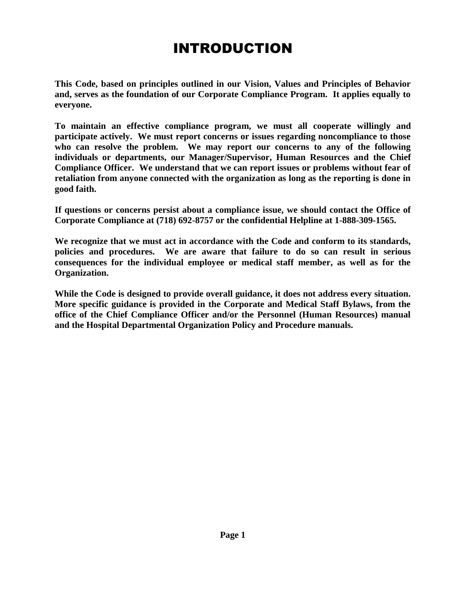# INTRODUCTION

**This Code, based on principles outlined in our Vision, Values and Principles of Behavior and, serves as the foundation of our Corporate Compliance Program. It applies equally to everyone.**

**To maintain an effective compliance program, we must all cooperate willingly and participate actively. We must report concerns or issues regarding noncompliance to those who can resolve the problem. We may report our concerns to any of the following individuals or departments, our Manager/Supervisor, Human Resources and the Chief Compliance Officer. We understand that we can report issues or problems without fear of retaliation from anyone connected with the organization as long as the reporting is done in good faith.**

**If questions or concerns persist about a compliance issue, we should contact the Office of Corporate Compliance at (718) 692-8757 or the confidential Helpline at 1-888-309-1565.**

**We recognize that we must act in accordance with the Code and conform to its standards, policies and procedures. We are aware that failure to do so can result in serious consequences for the individual employee or medical staff member, as well as for the Organization.**

**While the Code is designed to provide overall guidance, it does not address every situation. More specific guidance is provided in the Corporate and Medical Staff Bylaws, from the office of the Chief Compliance Officer and/or the Personnel (Human Resources) manual and the Hospital Departmental Organization Policy and Procedure manuals.**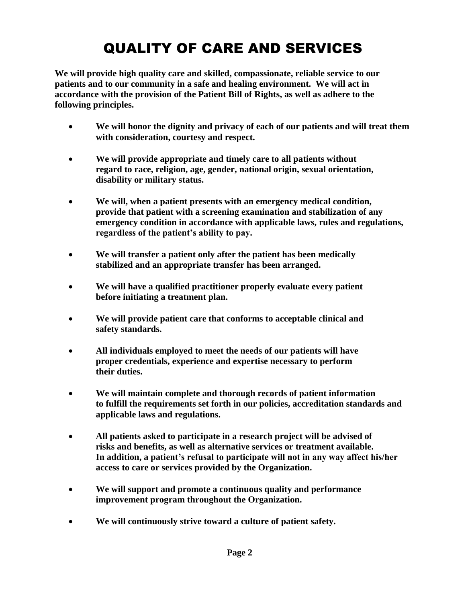# QUALITY OF CARE AND SERVICES

**We will provide high quality care and skilled, compassionate, reliable service to our patients and to our community in a safe and healing environment. We will act in accordance with the provision of the Patient Bill of Rights, as well as adhere to the following principles.**

- **We will honor the dignity and privacy of each of our patients and will treat them with consideration, courtesy and respect.**
- **We will provide appropriate and timely care to all patients without regard to race, religion, age, gender, national origin, sexual orientation, disability or military status.**
- **We will, when a patient presents with an emergency medical condition, provide that patient with a screening examination and stabilization of any emergency condition in accordance with applicable laws, rules and regulations, regardless of the patient's ability to pay.**
- **We will transfer a patient only after the patient has been medically stabilized and an appropriate transfer has been arranged.**
- **We will have a qualified practitioner properly evaluate every patient before initiating a treatment plan.**
- **We will provide patient care that conforms to acceptable clinical and safety standards.**
- **All individuals employed to meet the needs of our patients will have proper credentials, experience and expertise necessary to perform their duties.**
- **We will maintain complete and thorough records of patient information to fulfill the requirements set forth in our policies, accreditation standards and applicable laws and regulations.**
- **All patients asked to participate in a research project will be advised of risks and benefits, as well as alternative services or treatment available. In addition, a patient's refusal to participate will not in any way affect his/her access to care or services provided by the Organization.**
- **We will support and promote a continuous quality and performance improvement program throughout the Organization.**
- **We will continuously strive toward a culture of patient safety.**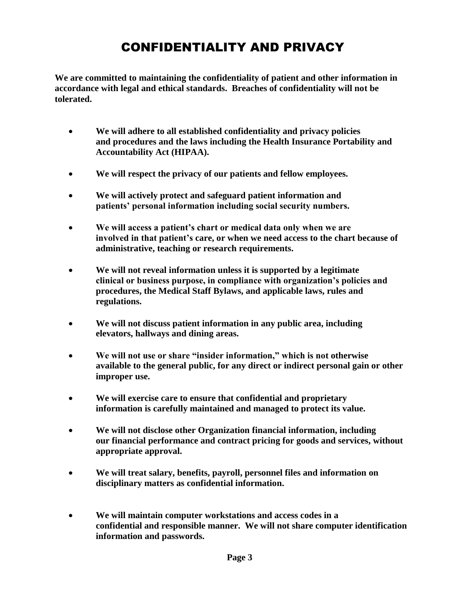# CONFIDENTIALITY AND PRIVACY

**We are committed to maintaining the confidentiality of patient and other information in accordance with legal and ethical standards. Breaches of confidentiality will not be tolerated.**

- **We will adhere to all established confidentiality and privacy policies and procedures and the laws including the Health Insurance Portability and Accountability Act (HIPAA).**
- **We will respect the privacy of our patients and fellow employees.**
- **We will actively protect and safeguard patient information and patients' personal information including social security numbers.**
- **We will access a patient's chart or medical data only when we are involved in that patient's care, or when we need access to the chart because of administrative, teaching or research requirements.**
- **We will not reveal information unless it is supported by a legitimate clinical or business purpose, in compliance with organization's policies and procedures, the Medical Staff Bylaws, and applicable laws, rules and regulations.**
- **We will not discuss patient information in any public area, including elevators, hallways and dining areas.**
- **We will not use or share "insider information," which is not otherwise available to the general public, for any direct or indirect personal gain or other improper use.**
- **We will exercise care to ensure that confidential and proprietary information is carefully maintained and managed to protect its value.**
- **We will not disclose other Organization financial information, including our financial performance and contract pricing for goods and services, without appropriate approval.**
- **We will treat salary, benefits, payroll, personnel files and information on disciplinary matters as confidential information.**
- **We will maintain computer workstations and access codes in a confidential and responsible manner. We will not share computer identification information and passwords.**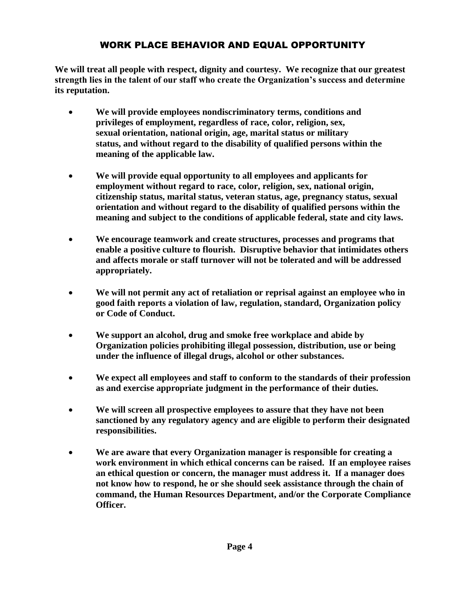### WORK PLACE BEHAVIOR AND EQUAL OPPORTUNITY

**We will treat all people with respect, dignity and courtesy. We recognize that our greatest strength lies in the talent of our staff who create the Organization's success and determine its reputation.**

- **We will provide employees nondiscriminatory terms, conditions and privileges of employment, regardless of race, color, religion, sex, sexual orientation, national origin, age, marital status or military status, and without regard to the disability of qualified persons within the meaning of the applicable law.**
- **We will provide equal opportunity to all employees and applicants for employment without regard to race, color, religion, sex, national origin, citizenship status, marital status, veteran status, age, pregnancy status, sexual orientation and without regard to the disability of qualified persons within the meaning and subject to the conditions of applicable federal, state and city laws.**
- **We encourage teamwork and create structures, processes and programs that enable a positive culture to flourish. Disruptive behavior that intimidates others and affects morale or staff turnover will not be tolerated and will be addressed appropriately.**
- **We will not permit any act of retaliation or reprisal against an employee who in good faith reports a violation of law, regulation, standard, Organization policy or Code of Conduct.**
- **We support an alcohol, drug and smoke free workplace and abide by Organization policies prohibiting illegal possession, distribution, use or being under the influence of illegal drugs, alcohol or other substances.**
- **We expect all employees and staff to conform to the standards of their profession as and exercise appropriate judgment in the performance of their duties.**
- **We will screen all prospective employees to assure that they have not been sanctioned by any regulatory agency and are eligible to perform their designated responsibilities.**
- **We are aware that every Organization manager is responsible for creating a work environment in which ethical concerns can be raised. If an employee raises an ethical question or concern, the manager must address it. If a manager does not know how to respond, he or she should seek assistance through the chain of command, the Human Resources Department, and/or the Corporate Compliance Officer.**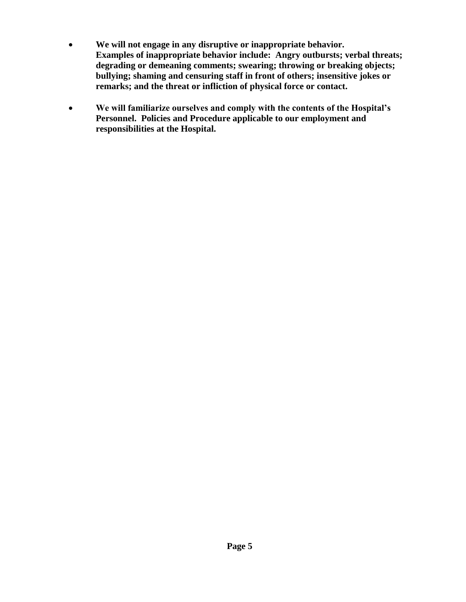- **We will not engage in any disruptive or inappropriate behavior. Examples of inappropriate behavior include: Angry outbursts; verbal threats; degrading or demeaning comments; swearing; throwing or breaking objects; bullying; shaming and censuring staff in front of others; insensitive jokes or remarks; and the threat or infliction of physical force or contact.**
- **We will familiarize ourselves and comply with the contents of the Hospital's Personnel. Policies and Procedure applicable to our employment and responsibilities at the Hospital.**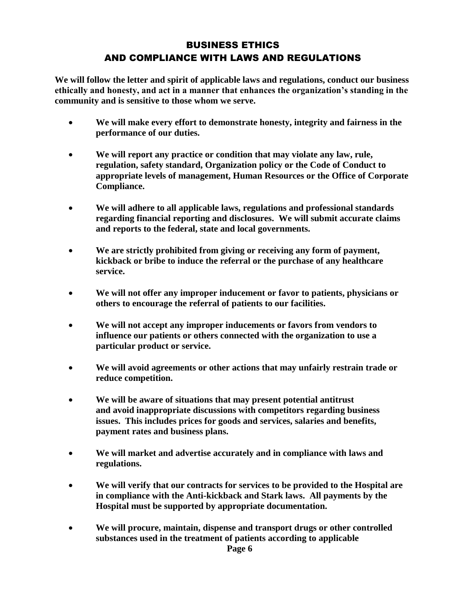### BUSINESS ETHICS AND COMPLIANCE WITH LAWS AND REGULATIONS

**We will follow the letter and spirit of applicable laws and regulations, conduct our business ethically and honesty, and act in a manner that enhances the organization's standing in the community and is sensitive to those whom we serve.**

- **We will make every effort to demonstrate honesty, integrity and fairness in the performance of our duties.**
- **We will report any practice or condition that may violate any law, rule, regulation, safety standard, Organization policy or the Code of Conduct to appropriate levels of management, Human Resources or the Office of Corporate Compliance.**
- **We will adhere to all applicable laws, regulations and professional standards regarding financial reporting and disclosures. We will submit accurate claims and reports to the federal, state and local governments.**
- **We are strictly prohibited from giving or receiving any form of payment, kickback or bribe to induce the referral or the purchase of any healthcare service.**
- **We will not offer any improper inducement or favor to patients, physicians or others to encourage the referral of patients to our facilities.**
- **We will not accept any improper inducements or favors from vendors to influence our patients or others connected with the organization to use a particular product or service.**
- **We will avoid agreements or other actions that may unfairly restrain trade or reduce competition.**
- **We will be aware of situations that may present potential antitrust and avoid inappropriate discussions with competitors regarding business issues. This includes prices for goods and services, salaries and benefits, payment rates and business plans.**
- **We will market and advertise accurately and in compliance with laws and regulations.**
- **We will verify that our contracts for services to be provided to the Hospital are in compliance with the Anti-kickback and Stark laws. All payments by the Hospital must be supported by appropriate documentation.**
- **We will procure, maintain, dispense and transport drugs or other controlled substances used in the treatment of patients according to applicable**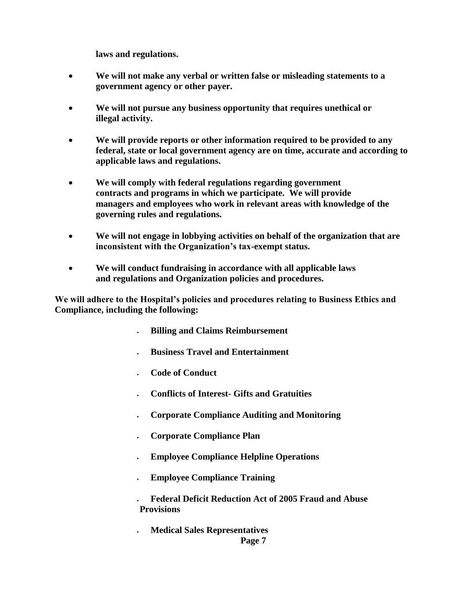**laws and regulations.**

- **We will not make any verbal or written false or misleading statements to a government agency or other payer.**
- **We will not pursue any business opportunity that requires unethical or illegal activity.**
- **We will provide reports or other information required to be provided to any federal, state or local government agency are on time, accurate and according to applicable laws and regulations.**
- **We will comply with federal regulations regarding government contracts and programs in which we participate. We will provide managers and employees who work in relevant areas with knowledge of the governing rules and regulations.**
- **We will not engage in lobbying activities on behalf of the organization that are inconsistent with the Organization's tax-exempt status.**
- **We will conduct fundraising in accordance with all applicable laws and regulations and Organization policies and procedures.**

**We will adhere to the Hospital's policies and procedures relating to Business Ethics and Compliance, including the following:**

- **Billing and Claims Reimbursement**
- **Business Travel and Entertainment**
- **Code of Conduct**
- **Conflicts of Interest- Gifts and Gratuities**
- **Corporate Compliance Auditing and Monitoring**
- **Corporate Compliance Plan**
- **Employee Compliance Helpline Operations**
- **Employee Compliance Training**
- **Federal Deficit Reduction Act of 2005 Fraud and Abuse Provisions**
- **Medical Sales Representatives Page 7**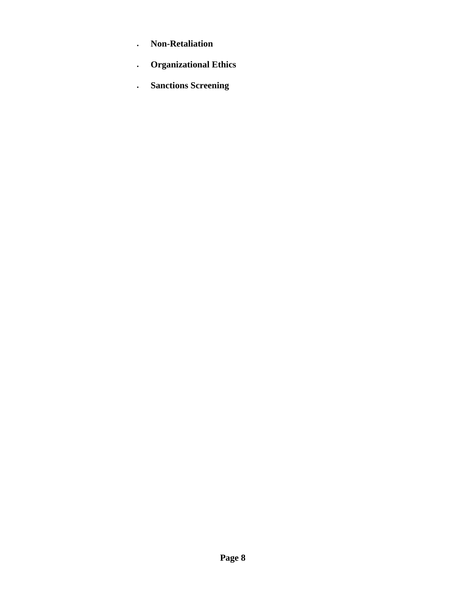- **Non-Retaliation**
- **Organizational Ethics**
- **Sanctions Screening**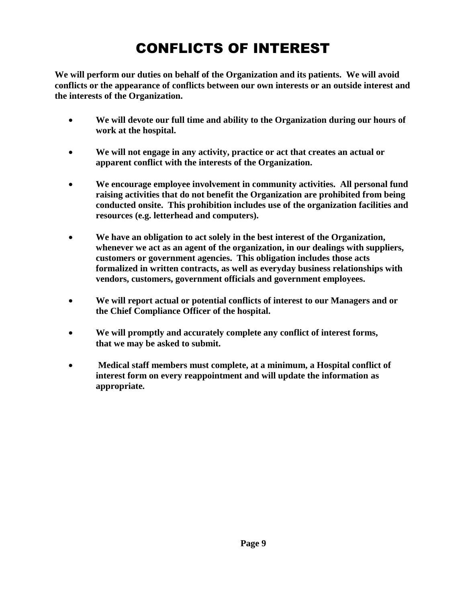# CONFLICTS OF INTEREST

**We will perform our duties on behalf of the Organization and its patients. We will avoid conflicts or the appearance of conflicts between our own interests or an outside interest and the interests of the Organization.**

- **We will devote our full time and ability to the Organization during our hours of work at the hospital.**
- **We will not engage in any activity, practice or act that creates an actual or apparent conflict with the interests of the Organization.**
- **We encourage employee involvement in community activities. All personal fund raising activities that do not benefit the Organization are prohibited from being conducted onsite. This prohibition includes use of the organization facilities and resources (e.g. letterhead and computers).**
- **We have an obligation to act solely in the best interest of the Organization, whenever we act as an agent of the organization, in our dealings with suppliers, customers or government agencies. This obligation includes those acts formalized in written contracts, as well as everyday business relationships with vendors, customers, government officials and government employees.**
- **We will report actual or potential conflicts of interest to our Managers and or the Chief Compliance Officer of the hospital.**
- **We will promptly and accurately complete any conflict of interest forms, that we may be asked to submit.**
- **Medical staff members must complete, at a minimum, a Hospital conflict of interest form on every reappointment and will update the information as appropriate.**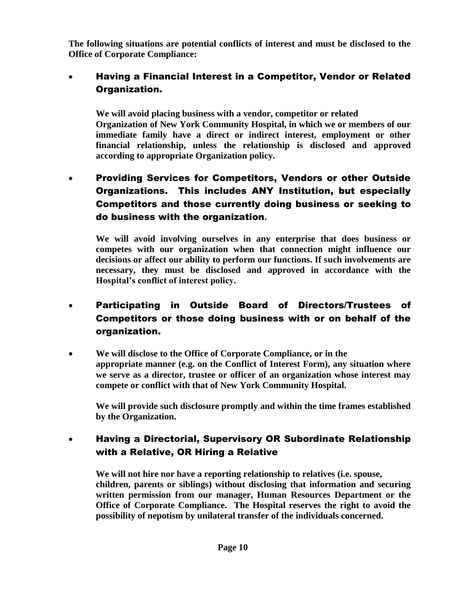**The following situations are potential conflicts of interest and must be disclosed to the Office of Corporate Compliance:**

### Having a Financial Interest in a Competitor, Vendor or Related Organization.

**We will avoid placing business with a vendor, competitor or related Organization of New York Community Hospital, in which we or members of our immediate family have a direct or indirect interest, employment or other financial relationship, unless the relationship is disclosed and approved according to appropriate Organization policy.**

 Providing Services for Competitors, Vendors or other Outside Organizations. This includes ANY Institution, but especially Competitors and those currently doing business or seeking to do business with the organization**.**

**We will avoid involving ourselves in any enterprise that does business or competes with our organization when that connection might influence our decisions or affect our ability to perform our functions. If such involvements are necessary, they must be disclosed and approved in accordance with the Hospital's conflict of interest policy.**

- Participating in Outside Board of Directors/Trustees of Competitors or those doing business with or on behalf of the organization.
- **We will disclose to the Office of Corporate Compliance, or in the appropriate manner (e.g. on the Conflict of Interest Form), any situation where we serve as a director, trustee or officer of an organization whose interest may compete or conflict with that of New York Community Hospital.**

**We will provide such disclosure promptly and within the time frames established by the Organization.**

 Having a Directorial, Supervisory OR Subordinate Relationship with a Relative, OR Hiring a Relative

**We will not hire nor have a reporting relationship to relatives (i.e. spouse, children, parents or siblings) without disclosing that information and securing written permission from our manager, Human Resources Department or the Office of Corporate Compliance. The Hospital reserves the right to avoid the possibility of nepotism by unilateral transfer of the individuals concerned.**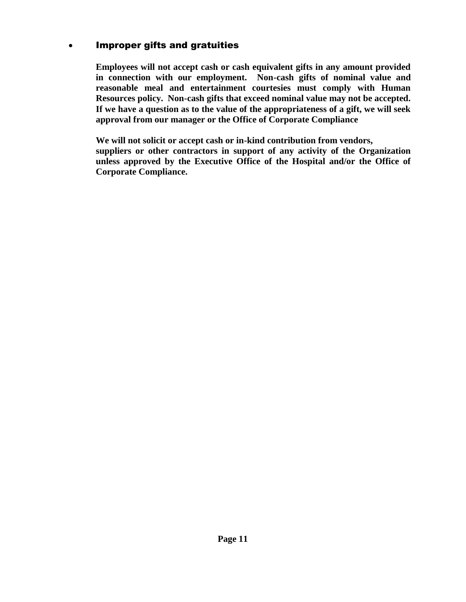### Improper gifts and gratuities

**Employees will not accept cash or cash equivalent gifts in any amount provided in connection with our employment. Non-cash gifts of nominal value and reasonable meal and entertainment courtesies must comply with Human Resources policy. Non-cash gifts that exceed nominal value may not be accepted. If we have a question as to the value of the appropriateness of a gift, we will seek approval from our manager or the Office of Corporate Compliance**

**We will not solicit or accept cash or in-kind contribution from vendors, suppliers or other contractors in support of any activity of the Organization unless approved by the Executive Office of the Hospital and/or the Office of Corporate Compliance.**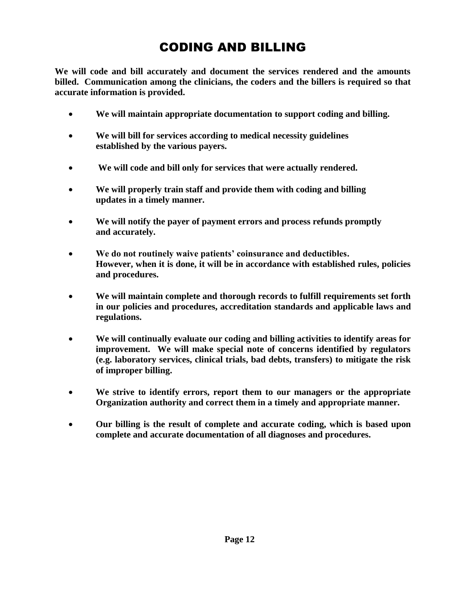# CODING AND BILLING

**We will code and bill accurately and document the services rendered and the amounts billed. Communication among the clinicians, the coders and the billers is required so that accurate information is provided.**

- **We will maintain appropriate documentation to support coding and billing.**
- **We will bill for services according to medical necessity guidelines established by the various payers.**
- **We will code and bill only for services that were actually rendered.**
- **We will properly train staff and provide them with coding and billing updates in a timely manner.**
- **We will notify the payer of payment errors and process refunds promptly and accurately.**
- **We do not routinely waive patients' coinsurance and deductibles. However, when it is done, it will be in accordance with established rules, policies and procedures.**
- **We will maintain complete and thorough records to fulfill requirements set forth in our policies and procedures, accreditation standards and applicable laws and regulations.**
- **We will continually evaluate our coding and billing activities to identify areas for improvement. We will make special note of concerns identified by regulators (e.g. laboratory services, clinical trials, bad debts, transfers) to mitigate the risk of improper billing.**
- **We strive to identify errors, report them to our managers or the appropriate Organization authority and correct them in a timely and appropriate manner.**
- **Our billing is the result of complete and accurate coding, which is based upon complete and accurate documentation of all diagnoses and procedures.**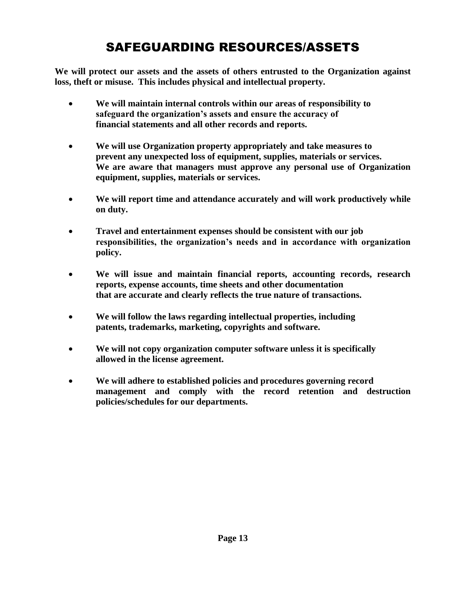# SAFEGUARDING RESOURCES/ASSETS

**We will protect our assets and the assets of others entrusted to the Organization against loss, theft or misuse. This includes physical and intellectual property.**

- **We will maintain internal controls within our areas of responsibility to safeguard the organization's assets and ensure the accuracy of financial statements and all other records and reports.**
- **We will use Organization property appropriately and take measures to prevent any unexpected loss of equipment, supplies, materials or services. We are aware that managers must approve any personal use of Organization equipment, supplies, materials or services.**
- **We will report time and attendance accurately and will work productively while on duty.**
- **Travel and entertainment expenses should be consistent with our job responsibilities, the organization's needs and in accordance with organization policy.**
- **We will issue and maintain financial reports, accounting records, research reports, expense accounts, time sheets and other documentation that are accurate and clearly reflects the true nature of transactions.**
- **We will follow the laws regarding intellectual properties, including patents, trademarks, marketing, copyrights and software.**
- **We will not copy organization computer software unless it is specifically allowed in the license agreement.**
- **We will adhere to established policies and procedures governing record management and comply with the record retention and destruction policies/schedules for our departments.**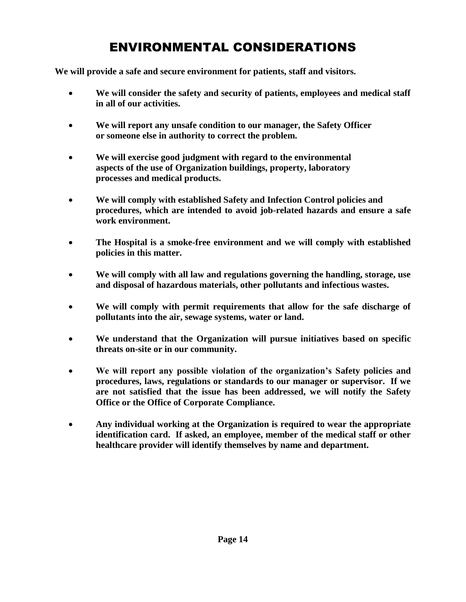# ENVIRONMENTAL CONSIDERATIONS

**We will provide a safe and secure environment for patients, staff and visitors.**

- **We will consider the safety and security of patients, employees and medical staff in all of our activities.**
- **We will report any unsafe condition to our manager, the Safety Officer or someone else in authority to correct the problem.**
- **We will exercise good judgment with regard to the environmental aspects of the use of Organization buildings, property, laboratory processes and medical products.**
- **We will comply with established Safety and Infection Control policies and procedures, which are intended to avoid job-related hazards and ensure a safe work environment.**
- **The Hospital is a smoke-free environment and we will comply with established policies in this matter.**
- **We will comply with all law and regulations governing the handling, storage, use and disposal of hazardous materials, other pollutants and infectious wastes.**
- **We will comply with permit requirements that allow for the safe discharge of pollutants into the air, sewage systems, water or land.**
- **We understand that the Organization will pursue initiatives based on specific threats on-site or in our community.**
- **We will report any possible violation of the organization's Safety policies and procedures, laws, regulations or standards to our manager or supervisor. If we are not satisfied that the issue has been addressed, we will notify the Safety Office or the Office of Corporate Compliance.**
- **Any individual working at the Organization is required to wear the appropriate identification card. If asked, an employee, member of the medical staff or other healthcare provider will identify themselves by name and department.**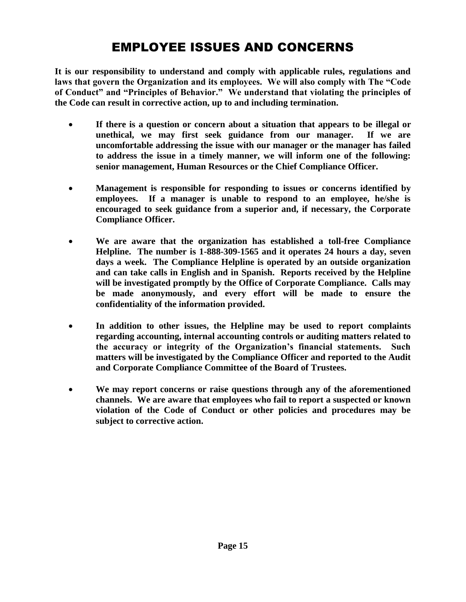# EMPLOYEE ISSUES AND CONCERNS

**It is our responsibility to understand and comply with applicable rules, regulations and laws that govern the Organization and its employees. We will also comply with The "Code of Conduct" and "Principles of Behavior." We understand that violating the principles of the Code can result in corrective action, up to and including termination.**

- **If there is a question or concern about a situation that appears to be illegal or unethical, we may first seek guidance from our manager. If we are uncomfortable addressing the issue with our manager or the manager has failed to address the issue in a timely manner, we will inform one of the following: senior management, Human Resources or the Chief Compliance Officer.**
- **Management is responsible for responding to issues or concerns identified by employees. If a manager is unable to respond to an employee, he/she is encouraged to seek guidance from a superior and, if necessary, the Corporate Compliance Officer.**
- **We are aware that the organization has established a toll-free Compliance Helpline. The number is 1-888-309-1565 and it operates 24 hours a day, seven days a week. The Compliance Helpline is operated by an outside organization and can take calls in English and in Spanish. Reports received by the Helpline will be investigated promptly by the Office of Corporate Compliance. Calls may be made anonymously, and every effort will be made to ensure the confidentiality of the information provided.**
- **In addition to other issues, the Helpline may be used to report complaints regarding accounting, internal accounting controls or auditing matters related to the accuracy or integrity of the Organization's financial statements. Such matters will be investigated by the Compliance Officer and reported to the Audit and Corporate Compliance Committee of the Board of Trustees.**
- **We may report concerns or raise questions through any of the aforementioned channels. We are aware that employees who fail to report a suspected or known violation of the Code of Conduct or other policies and procedures may be subject to corrective action.**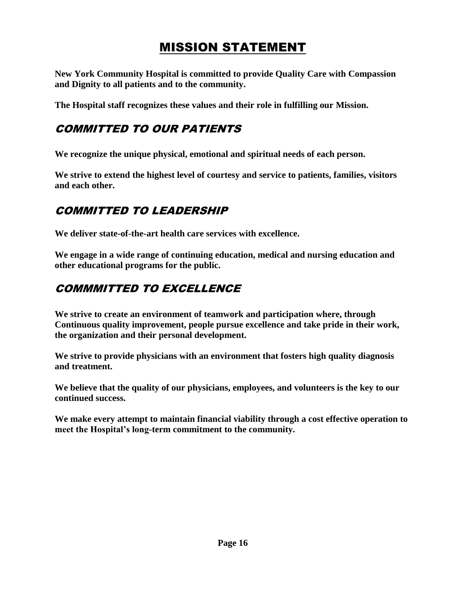# MISSION STATEMENT

**New York Community Hospital is committed to provide Quality Care with Compassion and Dignity to all patients and to the community.**

**The Hospital staff recognizes these values and their role in fulfilling our Mission.**

# COMMITTED TO OUR PATIENTS

**We recognize the unique physical, emotional and spiritual needs of each person.**

**We strive to extend the highest level of courtesy and service to patients, families, visitors and each other.**

# COMMITTED TO LEADERSHIP

**We deliver state-of-the-art health care services with excellence.**

**We engage in a wide range of continuing education, medical and nursing education and other educational programs for the public.**

# COMMMITTED TO EXCELLENCE

**We strive to create an environment of teamwork and participation where, through Continuous quality improvement, people pursue excellence and take pride in their work, the organization and their personal development.**

**We strive to provide physicians with an environment that fosters high quality diagnosis and treatment.**

**We believe that the quality of our physicians, employees, and volunteers is the key to our continued success.**

**We make every attempt to maintain financial viability through a cost effective operation to meet the Hospital's long-term commitment to the community.**